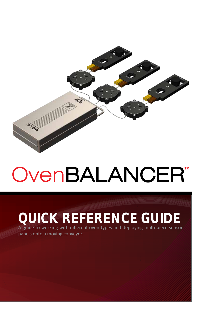

# OvenBALANCER*™*

## **QUICK REFERENCE GUIDE**

A guide to working with different oven types and deploying multi-piece sensor panels onto a moving conveyor.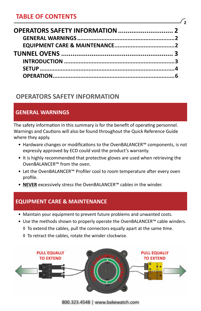### **TABLE OF CONTENTS**

| OPERATORS SAFETY INFORMATION  2 |  |
|---------------------------------|--|
|                                 |  |
|                                 |  |
|                                 |  |
|                                 |  |
|                                 |  |
|                                 |  |
|                                 |  |

**2**

#### **OPERATORS SAFETY INFORMATION**

#### **GENERAL WARNINGS**

The safety information in this summary is for the benefit of operating personnel. Warnings and Cautions will also be found throughout the Quick Reference Guide where they apply.

- Hardware changes or modifications to the OvenBALANCER™ components, is not expressly approved by ECD could void the product's warranty.
- It is highly recommended that protective gloves are used when retrieving the OvenBALANCER™ from the oven.
- Let the OvenBALANCER™ Profiler cool to room temperature after every oven profile.
- **NEVER** excessively stress the OvenBALANCER™ cables in the winder.

#### **EQUIPMENT CARE & MAINTENANCE**

- Maintain your equipment to prevent future problems and unwanted costs.
- Use the methods shown to properly operate the OvenBALANCER™ cable winders.
	- ◊ To extend the cables, pull the connectors equally apart at the same time.
	- ◊ To retract the cables, rotate the winder clockwise.



800.323.4548 | www.bakewatch.com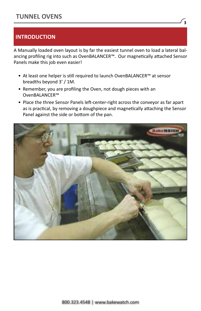#### **INTRODUCTION**

A Manually loaded oven layout is by far the easiest tunnel oven to load a lateral balancing profiling rig into such as OvenBALANCER™. Our magnetically attached Sensor Panels make this job even easier!

- At least one helper is still required to launch OvenBALANCER™ at sensor breadths beyond 3' / 1M.
- Remember, you are profiling the Oven, not dough pieces with an OvenBALANCER™
- Place the three Sensor Panels left-center-right across the conveyor as far apart as is practical, by removing a doughpiece and magnetically attaching the Sensor Panel against the side or bottom of the pan.

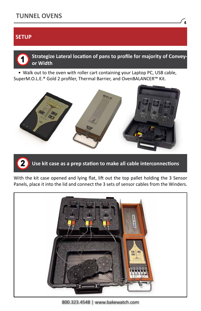#### **SETUP**



• Walk out to the oven with roller cart containing your Laptop PC, USB cable, SuperM.O.L.E.® Gold 2 profiler, Thermal Barrier, and OvenBALANCER™ Kit.





With the kit case opened and lying flat, lift out the top pallet holding the 3 Sensor Panels, place it into the lid and connect the 3 sets of sensor cables from the Winders.



<sup>800.323.4548 |</sup> www.bakewatch.com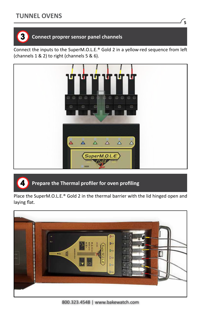

#### **Connect proprer sensor panel channels**

Connect the inputs to the SuperM.O.L.E.® Gold 2 in a yellow-red sequence from left (channels 1 & 2) to right (channels 5 & 6).



#### $\blacktriangle$ **Prepare the Thermal profiler for oven profiling**

Place the SuperM.O.L.E.® Gold 2 in the thermal barrier with the lid hinged open and laying flat.

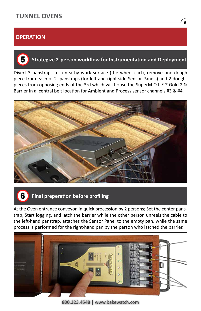#### **OPERATION**

 $5^{\circ}$ 

#### **Strategize 2-person workflow for Instrumentation and Deployment**

Divert 3 panstraps to a nearby work surface (the wheel cart), remove one dough piece from each of 2 panstraps (for left and right side Sensor Panels) and 2 doughpieces from opposing ends of the 3rd which will house the SuperM.O.L.E.® Gold 2 & Barrier in a central belt location for Ambient and Process sensor channels #3 & #4.





#### **Final preperation before profiling**

At the Oven entrance conveyor, in quick procession by 2 persons; Set the center panstrap, Start logging, and latch the barrier while the other person unreels the cable to the left-hand panstrap, attaches the Sensor Panel to the empty pan, while the same process is performed for the right-hand pan by the person who latched the barrier.



800.323.4548 | www.bakewatch.com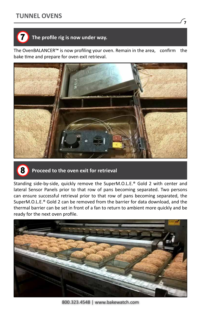

#### **The profile rig is now under way.**

The OvenBALANCER™ is now profiling your oven. Remain in the area, confirm the bake time and prepare for oven exit retrieval.





#### **Proceed to the oven exit for retrieval**

Standing side-by-side, quickly remove the SuperM.O.L.E.® Gold 2 with center and lateral Sensor Panels prior to that row of pans becoming separated. Two persons can ensure successful retrieval prior to that row of pans becoming separated, the SuperM.O.L.E.® Gold 2 can be removed from the barrier for data download, and the thermal barrier can be set in front of a fan to return to ambient more quickly and be ready for the next oven profile.



800.323.4548 | www.bakewatch.com